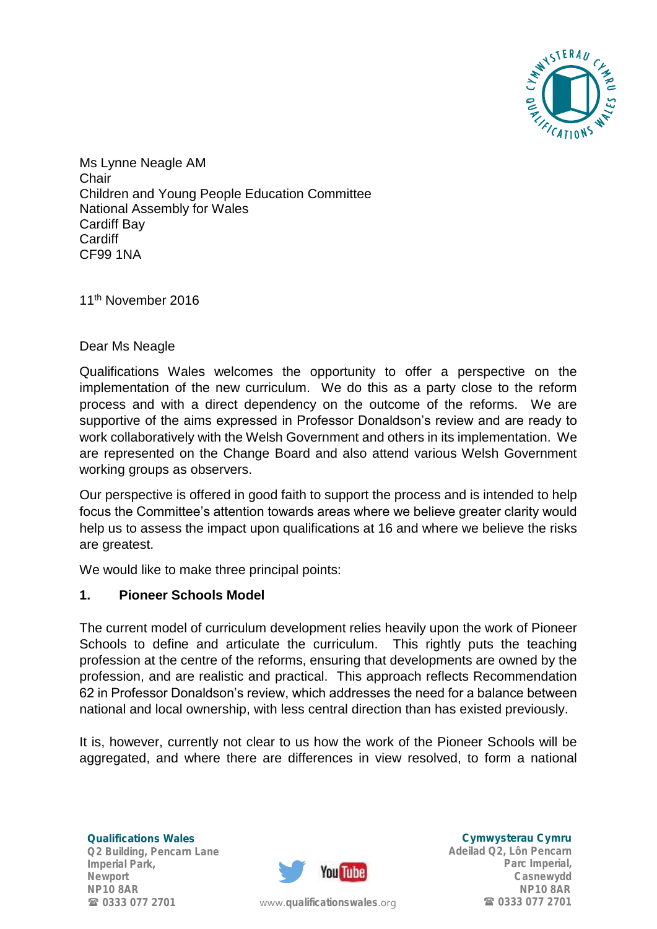

Ms Lynne Neagle AM **Chair** Children and Young People Education Committee National Assembly for Wales Cardiff Bay Cardiff CF99 1NA

11th November 2016

## Dear Ms Neagle

Qualifications Wales welcomes the opportunity to offer a perspective on the implementation of the new curriculum. We do this as a party close to the reform process and with a direct dependency on the outcome of the reforms. We are supportive of the aims expressed in Professor Donaldson's review and are ready to work collaboratively with the Welsh Government and others in its implementation. We are represented on the Change Board and also attend various Welsh Government working groups as observers.

Our perspective is offered in good faith to support the process and is intended to help focus the Committee's attention towards areas where we believe greater clarity would help us to assess the impact upon qualifications at 16 and where we believe the risks are greatest.

We would like to make three principal points:

## **1. Pioneer Schools Model**

The current model of curriculum development relies heavily upon the work of Pioneer Schools to define and articulate the curriculum. This rightly puts the teaching profession at the centre of the reforms, ensuring that developments are owned by the profession, and are realistic and practical. This approach reflects Recommendation 62 in Professor Donaldson's review, which addresses the need for a balance between national and local ownership, with less central direction than has existed previously.

It is, however, currently not clear to us how the work of the Pioneer Schools will be aggregated, and where there are differences in view resolved, to form a national

Qualifications Wales Q2 Building, Pencarn Lane Imperial Park, Newport NP10 8AR 0333 077 2701



Cymwysterau Cymru Adeilad Q2, Lôn Pencarn Parc Imperial, Casnewydd NP10 8AR www.[qualificationswales](http://qualificationswales.org/Splash).org **10333 077 2701**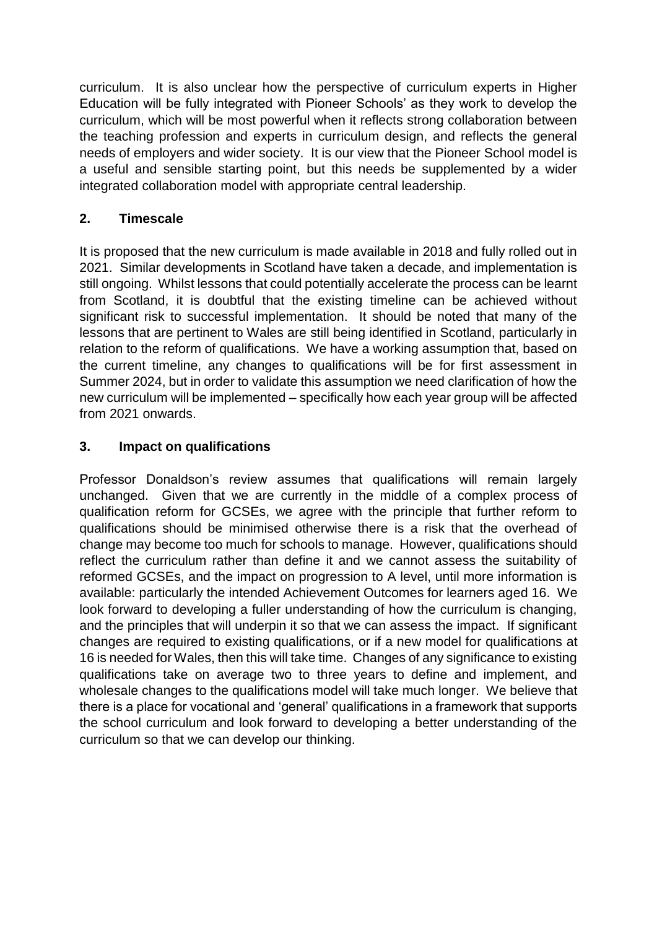curriculum. It is also unclear how the perspective of curriculum experts in Higher Education will be fully integrated with Pioneer Schools' as they work to develop the curriculum, which will be most powerful when it reflects strong collaboration between the teaching profession and experts in curriculum design, and reflects the general needs of employers and wider society. It is our view that the Pioneer School model is a useful and sensible starting point, but this needs be supplemented by a wider integrated collaboration model with appropriate central leadership.

## **2. Timescale**

It is proposed that the new curriculum is made available in 2018 and fully rolled out in 2021. Similar developments in Scotland have taken a decade, and implementation is still ongoing. Whilst lessons that could potentially accelerate the process can be learnt from Scotland, it is doubtful that the existing timeline can be achieved without significant risk to successful implementation. It should be noted that many of the lessons that are pertinent to Wales are still being identified in Scotland, particularly in relation to the reform of qualifications. We have a working assumption that, based on the current timeline, any changes to qualifications will be for first assessment in Summer 2024, but in order to validate this assumption we need clarification of how the new curriculum will be implemented – specifically how each year group will be affected from 2021 onwards.

## **3. Impact on qualifications**

Professor Donaldson's review assumes that qualifications will remain largely unchanged. Given that we are currently in the middle of a complex process of qualification reform for GCSEs, we agree with the principle that further reform to qualifications should be minimised otherwise there is a risk that the overhead of change may become too much for schools to manage. However, qualifications should reflect the curriculum rather than define it and we cannot assess the suitability of reformed GCSEs, and the impact on progression to A level, until more information is available: particularly the intended Achievement Outcomes for learners aged 16. We look forward to developing a fuller understanding of how the curriculum is changing, and the principles that will underpin it so that we can assess the impact. If significant changes are required to existing qualifications, or if a new model for qualifications at 16 is needed for Wales, then this will take time. Changes of any significance to existing qualifications take on average two to three years to define and implement, and wholesale changes to the qualifications model will take much longer. We believe that there is a place for vocational and 'general' qualifications in a framework that supports the school curriculum and look forward to developing a better understanding of the curriculum so that we can develop our thinking.